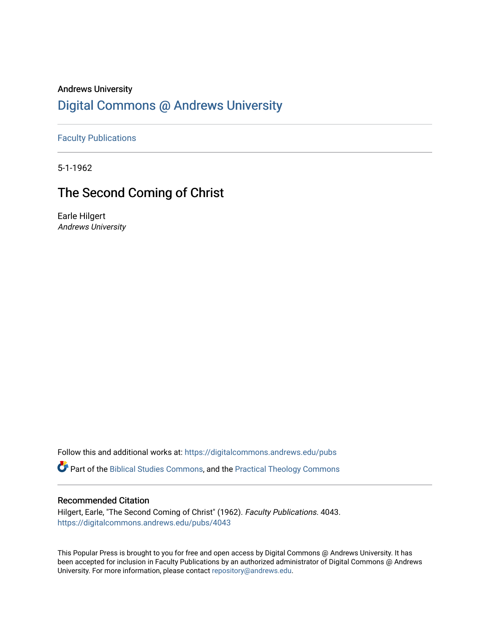### Andrews University [Digital Commons @ Andrews University](https://digitalcommons.andrews.edu/)

[Faculty Publications](https://digitalcommons.andrews.edu/pubs)

5-1-1962

## The Second Coming of Christ

Earle Hilgert Andrews University

Follow this and additional works at: [https://digitalcommons.andrews.edu/pubs](https://digitalcommons.andrews.edu/pubs?utm_source=digitalcommons.andrews.edu%2Fpubs%2F4043&utm_medium=PDF&utm_campaign=PDFCoverPages) 

Part of the [Biblical Studies Commons,](http://network.bepress.com/hgg/discipline/539?utm_source=digitalcommons.andrews.edu%2Fpubs%2F4043&utm_medium=PDF&utm_campaign=PDFCoverPages) and the [Practical Theology Commons](http://network.bepress.com/hgg/discipline/1186?utm_source=digitalcommons.andrews.edu%2Fpubs%2F4043&utm_medium=PDF&utm_campaign=PDFCoverPages) 

### Recommended Citation

Hilgert, Earle, "The Second Coming of Christ" (1962). Faculty Publications. 4043. [https://digitalcommons.andrews.edu/pubs/4043](https://digitalcommons.andrews.edu/pubs/4043?utm_source=digitalcommons.andrews.edu%2Fpubs%2F4043&utm_medium=PDF&utm_campaign=PDFCoverPages) 

This Popular Press is brought to you for free and open access by Digital Commons @ Andrews University. It has been accepted for inclusion in Faculty Publications by an authorized administrator of Digital Commons @ Andrews University. For more information, please contact [repository@andrews.edu](mailto:repository@andrews.edu).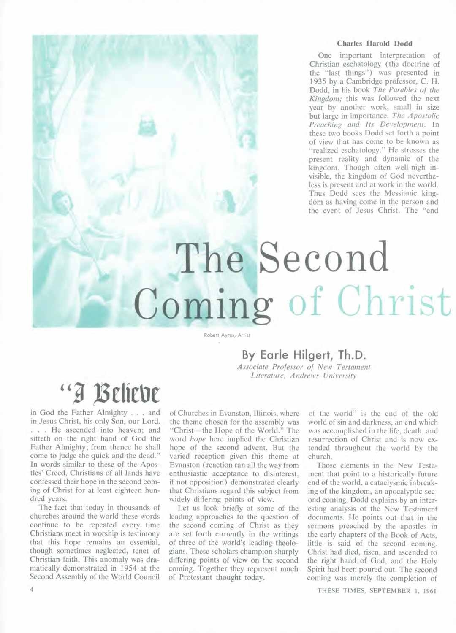### **Charles Harold Dodd**

One important interpretation of Christian eschatology (the doctrine of the "last things") was presented in 1935 by a Cambridge professor, C. H. Dodd, in his book *The Parables of the Kingdom;* this was followed the next year by another work, small in size but large in importance, *The Apostolic Preaching and Its Development.* In these two books Dodd set forth a point of view that has come to be known as "realized eschatology." He stresses the present reality and dynamic of the kingdom. Though often well-nigh invisible, the kingdom of God nevertheless is present and at work in the world. Thus Dodd sees the Messianic kingdom as having come in the person and the event of Jesus Christ. The "end

# **The Second Coming** of Christ

Robert Ayres, Artist

### **By Earle Hilgert, Th.D.**

*Associate Professor of New Testament Literature, Andrews University* 

# "I Beliebe

in God the Father Almighty . . . and in Jesus Christ, his only Son, our Lord. . . . He ascended into heaven; and sitteth on the right hand of God the Father Almighty; from thence he shall come to judge the quick and the dead." In words similar to these of the Apostles' Creed, Christians of all lands have confessed their hope in the second coming of Christ for at least eighteen hundred years.

The fact that today in thousands of churches around the world these words continue to be repeated every time Christians meet in worship is testimony that this hope remains an essential, though sometimes neglected, tenet of Christian faith. This anomaly was dramatically demonstrated in 1954 at the Second Assembly of the World Council

of Churches in Evanston, Illinois, where the theme chosen for the assembly was "Christ—the Hope of the World." The word *hope* here implied the Christian hope of the second advent. But the varied reception given this theme at Evanston (reaction ran all the way from enthusiastic acceptance to disinterest, if not opposition) demonstrated clearly that Christians regard this subject from widely differing points of view.

Let us look briefly at some of the leading approaches to the question of the second coming of Christ as they are set forth currently in the writings of three of the world's leading theologians. These scholars champion sharply differing points of view on the second coming. Together they represent much of Protestant thought today.

of the world" is the end of the old world of sin and darkness, an end which was accomplished in the life, death, and resurrection of Christ and is now extended throughout the world by the church.

Those elements in the New Testament that point to a historically future end of the world, a cataclysmic inbreaking of the kingdom, an apocalyptic second coming, Dodd explains by an interesting analysis of the New Testament documents. He points out that in the sermons preached by the apostles in the early chapters of the Book of Acts, little is said of the second coming. Christ had died, risen, and ascended to the right hand of God, and the Holy Spirit had been poured out. The second coming was merely the completion of

**4 THESE TIMES, SEPTEMBER 1, 1961**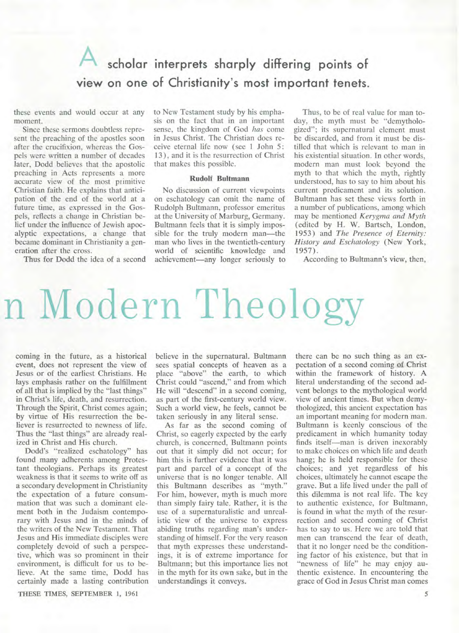## *A* **scholar interprets sharply differing points of view on one of Christianity's most important tenets.**

these events and would occur at any moment.

Since these sermons doubtless represent the preaching of the apostles soon after the crucifixion, whereas the Gospels were written a number of decades later, Dodd believes that the apostolic preaching in Acts represents a more accurate view of the most primitive Christian faith. He explains that anticipation of the end of the world at a future time, as expressed in the Gospels, reflects a change in Christian belief under the influence of Jewish apocalyptic expectations, a change that became dominant in Christianity a generation after the cross.

Thus for Dodd the idea of a second

to New Testament study by his emphasis on the fact that in an important sense, the kingdom of God *has* come in Jesus Christ. The Christian does receive eternal life now (see 1 John 5: 13), and it is the resurrection of Christ that makes this possible.

### **Rudolf Bultmann**

No discussion of current viewpoints on eschatology can omit the name of Rudolph Bultmann, professor emeritus at the University of Marburg, Germany. Bultmann feels that it is simply impossible for the truly modern man—the man who lives in the twentieth-century world of scientific knowledge and achievement—any longer seriously to

Thus, to be of real value for man today, the myth must be "demythologized"; its supernatural element must be discarded, and from it must be distilled that which is relevant to man in his existential situation. In other words, modern man must look beyond the myth to that which the myth, rightly understood, has to say to him about his current predicament and its solution. Bultmann has set these views forth in a number of publications, among which may be mentioned *Kerygma and Myth*  (edited by H. W. Bartsch, London, 1953) and *The Presence of Eternity: History and Eschatology* (New York, 1957).

According to Bultmann's view, then,

# n Modern Theology

coming in the future, as a historical event, does not represent the view of Jesus or of the earliest Christians. He lays emphasis rather on the fulfillment of all that is implied by the "last things" in Christ's life, death, and resurrection. Through the Spirit, Christ comes again; by virtue of His resurrection the believer is resurrected to newness of life. Thus the "last things" are already realized in Christ and His church.

Dodd's "realized eschatology" has found many adherents among Protestant theologians. Perhaps its greatest weakness is that it seems to write off as a secondary development in Christianity the expectation of a future consummation that was such a dominant element both in the Judaism contemporary with Jesus and in the minds of the writers of the New Testament. That Jesus and His immediate disciples were completely devoid of such a perspective, which was so prominent in their environment, is difficult for us to believe. At the same time, Dodd has certainly made a lasting contribution

THESE TIMES, SEPTEMBER 1, 1961

believe in the supernatural. Bultmann sees spatial concepts of heaven as a place "above" the earth, to which Christ could "ascend," and from which He will "descend" in a second coming, as part of the first-century world view. Such a world view, he feels, cannot be taken seriously in any literal sense.

As far as the second coming of Christ, so eagerly expected by the early church, is concerned, Bultmann points out that it simply did not occur; for him this is further evidence that it was part and parcel of a concept of the universe that is no longer tenable. All this Bultmann describes as "myth." For him, however, myth is much more than simply fairy tale. Rather, it is the use of a supernaturalistic and unrealistic view of the universe to express abiding truths regarding man's understanding of himself. For the very reason that myth expresses these understandings, it is of extreme importance for Bultmann; but this importance lies not in the myth for its own sake, but in the understandings it conveys.

there can be no such thing as an expectation of a second coming **of** Christ within the framework of history. A literal understanding of the second advent belongs to the mythological world view of ancient times. But when demythologized, this ancient expectation has an important meaning for modern man. Bultmann is keenly conscious of the predicament in which humanity today finds itself—man is driven inexorably to make choices on which life and death hang; he is held responsible for these choices; and yet regardless **of** his choices, ultimately he cannot escape the grave. But a life lived under the pall of this dilemma is not real life. The key to authentic existence, for Bultmann, is found in what the myth of the resurrection and second coming of Christ has to say to us. Here we are told that men can transcend the fear of death, that it no longer need be the conditioning factor of his existence, but that in "newness of life" he may enjoy authentic existence. In encountering the grace of God in Jesus Christ man comes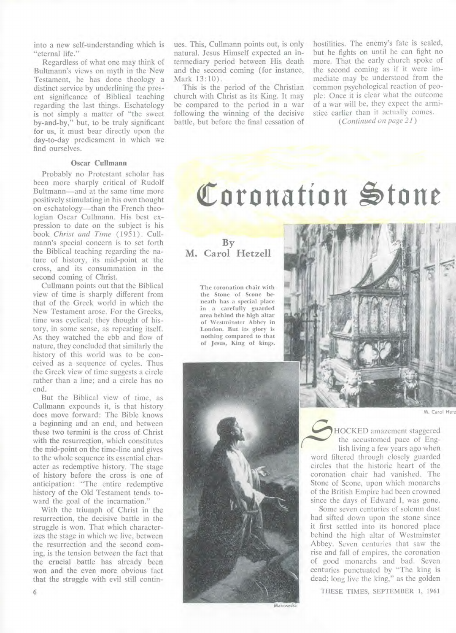into a new self-understanding which is "eternal life."

Regardless of what one may think of Bultmann's views on myth in the New Testament, he has done theology a distinct service by underlining the present significance of Biblical teaching regarding the last things. Eschatology is not simply a matter of "the sweet by-and-by," but, to be truly significant for us, it must bear directly upon the day-to-day predicament in which we find ourselves.

### **Oscar Cullmann**

Probably no Protestant scholar has been more sharply critical of Rudolf Bultmann—and at the same time more positively stimulating in his own thought on eschatology—than the French theologian Oscar Cullmann. His best expression to date on the subject is his book *Christ and Time* (1951) . Cullmann's special concern is to set forth the Biblical teaching regarding the nature of history, its mid-point at the cross, and its consummation in the second coming of Christ.

Cullmann points out that the Biblical view of time is sharply different from that of the Greek world in which the New Testament arose. For the Greeks, time was cyclical; they thought of history, in some sense, as repeating itself. As they watched the ebb and flow of nature, they concluded that similarly the history of this world was to be conceived as a sequence of cycles. Thus the Greek view of time suggests a circle rather than a line; and a circle has no end.

But the Biblical view of time, as Cullmann expounds it, is that history does move forward: The Bible knows a beginning and an end, and between these two termini is the cross of Christ with **the** resurrection, which constitutes the mid-point on the time-line and gives to the whole sequence its essential character as redemptive history. The stage of history before the cross is one of anticipation: "The entire redemptive history of the Old Testament tends toward the goal of the incarnation."

With the triumph of Christ in the resurrection, the decisive battle in the struggle is won. That which characterizes the stage in which we live, between the resurrection and the second coming, is the tension between the fact that the crucial battle has already been won and the even more obvious fact that the struggle with evil still contin-

6

ues. This, Cullmann points out, is only natural. Jesus Himself expected an intermediary period between His death and the second coming (for instance, Mark 13:10).

This is the period of the Christian church with Christ as its King. It may be compared to the period in a war following the winning of the decisive battle, but before the final cessation of

hostilities. The enemy's fate is sealed, but he fights on until he can fight no more. That the early church spoke of the second coming as if it were immediate may be understood from the common psychological reaction of people: Once it is clear what the outcome of a war will be, they expect the armistice earlier than it actually comes.

*(Continued on page 21)* 

# Coronation Stone

**By M. Carol Hetzell** 

> **The coronation chair with the Stone of Scone beneath has a special place in a carefully guarded area behind the high altar of Westminster Abbey in London. But its glory is nothing compared to that of Jesus, King of kings.**



M. Carol **Hetz** 



HOCKED amazement staggered the accustomed pace of English living a few years ago when

word filtered through closely guarded circles that the historic heart of the coronation chair had vanished. The Stone of Scone, upon which monarchs of the British Empire had been crowned since the days of Edward **I,** was gone.

Some seven centuries of solemn dust had sifted down upon the stone since it first settled into its honored place behind the high altar of Westminster Abbey. Seven centuries that saw the rise and fall of empires, the coronation of good monarchs and bad. Seven centuries punctuated by "The king is dead; long live the king," as the golden

**THESE TIMES, SEPTEMBER 1, 1961**